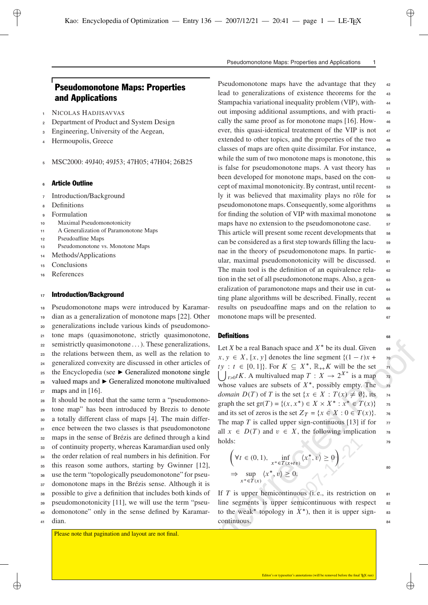# Pseudomonotone Maps: Properties and Applications

- **1** NICOLAS HADJISAVVAS
- **<sup>2</sup>** Department of Product and System Design
- **<sup>3</sup>** Engineering, University of the Aegean,
- **<sup>4</sup>** Hermoupolis, Greece
- **<sup>5</sup>** MSC2000: 49J40; 49J53; 47H05; 47H04; 26B25

# **<sup>6</sup>** Article Outline

- **<sup>7</sup>** Introduction/Background
- **<sup>8</sup>** Definitions

✐

- **<sup>9</sup>** Formulation
- **<sup>10</sup>** Maximal Pseudomonotonicity
- **<sup>11</sup>** A Generalization of Paramonotone Maps
- **<sup>12</sup>** Pseudoaffine Maps
- **<sup>13</sup>** Pseudomonotone vs. Monotone Maps
- **<sup>14</sup>** Methods/Applications
- **<sup>15</sup>** Conclusions
- **<sup>16</sup>** References

# **<sup>17</sup>** Introduction/Background

 Pseudomonotone maps were introduced by Karamar- dian as a generalization of monotone maps [22]. Other generalizations include various kinds of pseudomono- tone maps (quasimonotone, strictly quasimonotone, semistrictly quasimonotone . . . ). These generalizations, the relations between them, as well as the relation to generalized convexity are discussed in other articles of <sup>25</sup> the Encyclopedia (see ► Generalized monotone single valued maps and Generalized monotone multivalued maps and in [16]. It should be noted that the same term a "pseudomono- tone map" has been introduced by Brezis to denote a totally different class of maps [4]. The main differ-

 ence between the two classes is that pseudomonotone maps in the sense of Brézis are defined through a kind of continuity property, whereas Karamardian used only the order relation of real numbers in his definition. For this reason some authors, starting by Gwinner [12],

**<sup>36</sup>** use the term "topologically pseudomonotone" for pseu-

- **<sup>37</sup>** domonotone maps in the Brézis sense. Although it is
- **<sup>38</sup>** possible to give a definition that includes both kinds of
- **<sup>39</sup>** pseudomonotonicity [11], we will use the term "pseu-
- **<sup>40</sup>** domonotone" only in the sense defined by Karamar-
- **<sup>41</sup>** dian.

Please note that pagination and layout are not final.

Pseudomonotone Maps: Properties and Applications 1

Pseudomonotone maps have the advantage that they **<sup>42</sup>** lead to generalizations of existence theorems for the **<sup>43</sup>** Stampachia variational inequality problem (VIP), with- **<sup>44</sup>** out imposing additional assumptions, and with practi- **<sup>45</sup>** cally the same proof as for monotone maps [16]. How- **<sup>46</sup>** ever, this quasi-identical treatement of the VIP is not **<sup>47</sup>** extended to other topics, and the properties of the two **<sup>48</sup>** classes of maps are often quite dissimilar. For instance, **<sup>49</sup>** while the sum of two monotone maps is monotone, this  $\frac{1}{50}$ is false for pseudomonotone maps. A vast theory has **<sup>51</sup>** been developed for monotone maps, based on the con- **<sup>52</sup>** cept of maximal monotonicity. By contrast, until recent- **<sup>53</sup>** ly it was believed that maximality plays no rôle for **<sup>54</sup>** pseudomonotone maps. Consequently, some algorithms **<sup>55</sup>** for finding the solution of VIP with maximal monotone **<sup>56</sup>** maps have no extension to the pseudomonotone case. **57** This article will present some recent developments that **<sup>58</sup>** can be considered as a first step towards filling the lacu- **<sup>59</sup>** nae in the theory of pseudomonotone maps. In partic- **<sup>60</sup>** ular, maximal pseudomonotonicity will be discussed. **<sup>61</sup>** The main tool is the definition of an equivalence rela- **<sup>62</sup>** tion in the set of all pseudomonotone maps. Also, a gen- **<sup>63</sup>** eralization of paramonotone maps and their use in cut- **<sup>64</sup>** ting plane algorithms will be described. Finally, recent **<sup>65</sup>** results on pseudoaffine maps and on the relation to **<sup>66</sup>** monotone maps will be presented. **<sup>67</sup>**

# **Definitions** 68

comoton to a real Banach space and  $X^*$  be its dual. Given<br>on to  $x, y \in X$ ,  $[x, y]$  denotes the line segment  $\{(1 - t)x + \nvert x\}$ <br>ingle  $\bigcup_{t>0} tK$ . A multivalued map  $T : X \rightarrow 2^{X^*}$  is a map  $\overline{r}$ <br>alued whose values are sub Let X be a real Banach space and  $X^*$  be its dual. Given  $\overline{\phantom{a}}$  69 X, [x, y] denotes the line segment  $\{(1-t)x +$  **70**<br> $\subset$  [0, 11] For  $K \subset V^* \cong K$  will be the set  $ty: t \in [0,1]$ . For  $K \subseteq X^*$ ,  $\mathbb{R}_{++}K$  will be the set  $\mathbb{R}$ <br>  $\begin{bmatrix} 1 & tK \\ 0 & tK \end{bmatrix}$  multivalued map  $T: X \rightarrow 2^{X^*}$  is a map  $\bigcup_{t>0} t K$ . A multivalued map  $T : X \to 2^{X^*}$  is a map  $\tau$ whose values are subsets of  $X^*$ , possibly empty. The  $\frac{1}{73}$ *domain*  $D(T)$  of T is the set  $\{x \in X : T(x) \neq \emptyset\}$ , its  $\tau$ 4<br>graph the set  $\tau(T) = f(x, x^*) \subset Y \times Y^* : x^* \subset T(x)$ Exercise to  $f(x) = \{(x, x^*) \in X \times X^* : x^* \in T(x)$ <br>and its set of game is the set  $Z_{\alpha} = \{x \in X : 0 \in T(x)\}$ and its set of zeros is the set  $Z_T = \{x \in X : 0 \in T(x) \}$ <br>The map T is called upper sign continuous [13] if for g **<sup>75</sup>** The map *T* is called upper sign-continuous [13] if for  $\pi$ . **<sup>76</sup>** all  $x \in D(T)$  and  $v \in X$ , the following implication **78**<br>holds: holds: holds: **<sup>79</sup>**

$$
\left(\forall t \in (0, 1), \inf_{x^* \in T(x+tv)} \langle x^*, v \rangle \ge 0\right)
$$
  
\n
$$
\Rightarrow \sup_{x^* \in T(x)} \langle x^*, v \rangle \ge 0.
$$

If *T* is upper hemicontinuous (i. e., its restriction on **<sup>81</sup>** line segments is upper semicontinuous with respect **<sup>82</sup>** to the weak<sup>\*</sup> topology in  $X^*$ ), then it is upper signcontinuous. **<sup>84</sup>**

✐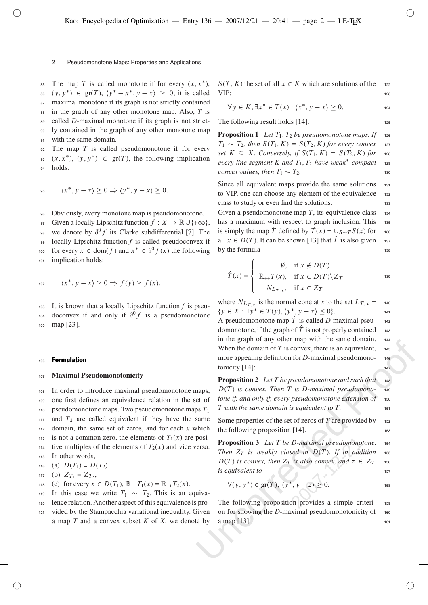#### 2 Pseudomonotone Maps: Properties and Applications

**EXECUTE: 85** The map *T* is called monotone if for every  $(x, x^*)$ ,<br>  $\therefore$   $(y, y^*) \in \mathcal{F}(T)$ ,  $(y^* \neq y^* \leq y^*) \geq 0$ ; it is called <sup>86</sup>  $(y, y^*) \in \text{gr}(T)$ ,  $\langle y^* - x^*, y - x \rangle \ge 0$ ; it is called <br><sup>87</sup> maximal monotone if its graph is not strictly contained maximal monotone if its graph is not strictly contained in the graph of any other monotone map. Also, *T* is called *D*-maximal monotone if its graph is not strict- ly contained in the graph of any other monotone map with the same domain.

**<sup>92</sup>** The map *T* is called pseudomonotone if for every  $(x, x^*)$ ,  $(y, y^*) \in \text{gr}(T)$ , the following implication **<sup>94</sup>** holds.

$$
45 \qquad \langle x^*, y - x \rangle \ge 0 \Rightarrow \langle y^*, y - x \rangle \ge 0.
$$

**<sup>96</sup>** Obviously, every monotone map is pseudomonotone.

97 Given a locally Lipschitz function  $f: X \to \mathbb{R} \cup \{+\infty\}$ ,<br>we denote by  $2^0 f$  its Clerke subdifferential [7]. The

we denote by  $\partial^0 f$  its Clarke subdifferential [7]. The

@ **<sup>99</sup>** locally Lipschitz function *f* is called pseudoconvex if

for every  $x \in \text{dom}(f)$  and  $x^* \in \partial$ <br>implication holds: 101 implication holds: 100 for every  $x \in \text{dom}(f)$  and  $x^* \in \partial^0$  $f(x)$  the following

$$
f_{\rm{max}}
$$

$$
\langle x^*, y - x \rangle \ge 0 \Rightarrow f(y) \ge f(x).
$$

**<sup>103</sup>** It is known that a locally Lipschitz function *f* is pseudoconvex if and only if  $\partial^0 f$  is a pseudomonotone map [23]. **<sup>105</sup>** map [23].

### **<sup>106</sup>** Formulation

✐

# **<sup>107</sup> Maximal Pseudomonotonicity**

 In order to introduce maximal pseudomonotone maps, one first defines an equivalence relation in the set of pseudomonotone maps. Two pseudomonotone maps *T* 1 and  $T_2$  are called equivalent if they have the same domain, the same set of zeros, and for each *x* which <sup>113</sup> is not a common zero, the elements of  $T_1(x)$  are posi-<br>  $\ldots$  tive multiples of the elements of  $T_2(x)$  and vice verse.  $\frac{1}{2}$ <sup>114</sup> tive multiples of the elements of  $T_2(x)$  and vice versa. In other words,

116 (a) 
$$
D(T_1) = D(T_2)
$$
  
117 (b)  $Z_{T_1} = Z_{T_2}$ ,

$$
118 \quad \text{(c) for every } x \in D(T_1), \, \mathbb{R}_{++} T_1(x) = \mathbb{R}_{++} T_2(x).
$$

118 (c) for every  $x \in D(T_1)$ ,  $\mathbb{R}_{++}T_1(x) = \mathbb{R}_{++}T_2(x)$ .<br>
In this case we write  $T_1 \sim T_2$ . This is an equiva-<br>
long relation Another spect of this equivalence is pro-120 lence relation. Another aspect of this equivalence is pro-

**<sup>121</sup>** vided by the Stampacchia variational inequality. Given a map *T* and a convex subset *K* of *X*, we denote by VIP:  $(T, K)$  the set of all  $x \in K$  which are solutions of the **122**<br>**ID** VIP: **<sup>123</sup>**

$$
\forall y \in K, \exists x^* \in T(x) : \langle x^*, y - x \rangle \ge 0.
$$

The following result holds [14].

**Proposition 1** *Let*  $T_1$ ,  $T_2$  *be pseudomonotone maps. If* **126**<br> $T_1$  **126**  $T_2$  **126**  $S(T_1, K) = S(T_1, K)$  for given convex **127**  $T_1 \sim T_2$ , then  $S(T_1, K) = S(T_2, K)$  for every convex 127<br>  $S(T_1, K) = S(T_2, K) = S(T_1, K)$  for any set  $K \subseteq X$ . Conversely, if  $S(T_1, K) = S(T_2, K)$  for 128<br>every line seement K and T. T. have weak<sup>\*</sup> compact.  $e^{i\theta}$  is the segment K and  $T_1$ ,  $T_2$  *have weak*<sup>\*</sup>-compact **129**<br> *expansively also that*  $T_1$ ,  $T_2$  *have weak*<sup>\*</sup>-compact **129** *convex values, then*  $T_1 \sim T_2$ *.* **<sup>130</sup>**

Since all equivalent maps provide the same solutions **<sup>131</sup>** to VIP, one can choose any element of the equivalence **<sup>132</sup>** class to study or even find the solutions. **<sup>133</sup>**

Given a pseudomonotone map T, its equivalence class 134 has a maximum with respect to graph inclusion. This **<sup>135</sup>** is simply the map  $\hat{T}$  defined by  $\hat{T}(x) = \bigcup_{S \sim T} S(x)$  for  $\frac{136}{136}$  all  $x \in D(T)$ . It can be shown [13] that  $\hat{T}$  is also given all  $x \in D(T)$ . It can be shown [13] that  $\hat{T}$  is also given **137**<br>by the formula by the formula  $138$ 

$$
\hat{T}(x) = \begin{cases}\n\emptyset, & \text{if } x \notin D(T) \\
\mathbb{R}_{++}T(x), & \text{if } x \in D(T) \setminus Z_T \\
N_{L_{T,x}}, & \text{if } x \in Z_T\n\end{cases}
$$
\n<sup>139</sup>

where  $N_{L_{T,x}}$  is the normal cone at *x* to the set  $L_{T,x} = 140$ A pseudomonotone map  $\hat{T}$  is called *D*-maximal pseu-<br>domonotone if the graph of  $\hat{T}$  is not properly contained  $: \exists y^* \in T(y), \langle y^*, y - x \rangle \leq 0$ . **<sup>141</sup>** domonotone, if the graph of  $\hat{T}$  is not properly contained **143**<br>in the graph of any other man with the game domain in the graph of any other map with the same domain. **<sup>144</sup>** When the domain of T is convex, there is an equivalent, 145 more appealing definition for *D*-maximal pseudomono- **<sup>146</sup>** tonicity [14]: **<sup>147</sup>**

If the graph of any other hap which the same totutant. The same that we have the domain of T is convex, there is an equivalent, the more appealing definition for *D*-maximal pseudomono-<br>tonicity [14]:<br>**Proposition 2** Let **Proposition 2** *Let T be pseudomonotone and such that* **<sup>148</sup>**  $D(T)$  *is convex. Then* T *is D-maximal pseudomono-* **149**<br>*tone if, and only if, every pseudomonotone extension of* **150** *tone if, and only if, e very pseudomonotone extension of* **<sup>150</sup>** *T* with the same domain is equivalent to T.

Some properties of the set of zeros of *T* are provided by **<sup>152</sup>** the following proposition [14].

**Proposition 3** *Let T be D-maximal pseudomonotone.* **<sup>154</sup>** *Then*  $Z_T$  *is weakly closed in*  $D(T)$ *. If in addition* **155** (*T*) is convex, then  $Z_T$  is also convex, and  $z \in Z$  $\frac{1}{157}$  is equivalent to  $\frac{1}{157}$ T **156**

$$
\forall (y, y^*) \in \text{gr}(T), \langle y^*, y - z \rangle \ge 0.
$$

The following proposition provides a simple criteri- **<sup>159</sup>** on for showing the *D*-maximal pseudomonotonicity of **<sup>160</sup>** a map [13]. <sup>161</sup>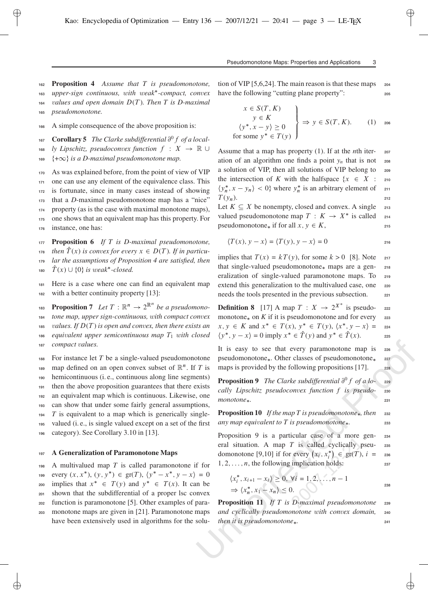**<sup>162</sup> Proposition 4** *Assume that T is pseudomonotone, upper-sign continuous, with weak* **<sup>163</sup>** *-compact, con vex* **164** *values and open domain* D ( T )*. Then T is D-maximal* **<sup>165</sup>** *pseudomonotone.*

**<sup>166</sup>** A simple consequence of the above proposition is:

✐

**Corollary 5** The Clarke subdifferential  $\partial^0 f$  of a local-<br>  $\partial^0 f$  *I* inscluit, pseudoconvex function  $f : X \to \mathbb{R}$ 

 $\frac{1}{168}$  *ly Lipschitz, pseudoconvex function*  $f : X \to \mathbb{R}$  U

**169**  $\{\pm\infty\}$  is a D-maximal pseudomonotone map.

 As was explained before, from the point of view of VIP one can use any element of the equivalence class. This is fortunate, since in many cases instead of showing that a *D*-maximal pseudomonotone map has a "nice" property (as is the case with maximal monotone maps), one shows that an equivalent map has this property. For instance, one has:

**<sup>177</sup> Proposition 6** *If T is D-maximal pseudomonotone,*

*then*  $\hat{T}(x)$  is convex for every  $x \in D(T)$ . If in particu-<br>  $\sum_{n=1}^{\infty}$  lay the assumptions of Proposition 4 are satisfied than

x x 2 D T **<sup>179</sup>** *lar the assumptions of Proposition 4 are satisfied, then* 180  $\hat{T}(x) \cup \{0\}$  *is weak*<sup>\*</sup>-closed.

**<sup>181</sup>** Here is a case where one can find an equivalent map **<sup>182</sup>** with a better continuity property [13]:

 **Proposition 7** *Let*  $T : \mathbb{R}^n \to 2^{\mathbb{R}^n}$  *be a pseudomono-***tone map, upper sign-continuous,** with compact convex **185**  $values.$  If  $D(T)$  is open and convex, then there exists an *equivalent upper semicontinuous map*  $T_1$  with closed *compact values.*

 For instance let *T* be a single-valued pseudomonotone 189 map defined on an open convex subset of  $\mathbb{R}^n$ . If T is hemicontinuous (i. e., continuous along line segments) then the above proposition guarantees that there exists an equivalent map which is continuous. Likewise, one can show that under some fairly general assumptions, **194** *T* is equivalent to a map which is generically single- valued (i. e., is single valued except on a set of the first category). See Corollary 3.10 in [13].

### **<sup>197</sup> A Generalization of Paramonotone Maps**

**<sup>198</sup>** A multivalued map *T* is called paramonotone if for every  $(x, x^*)$ ,  $(y, y^*) \in \text{gr}(T)$ ,  $\langle y^* - x^*, y - x \rangle = 0$ <br>and implies that  $x^* \in T(y)$  and  $y^* \in T(x)$ . It can be  $\text{implies that } x^* \in T(y) \text{ and } y^* \in T(x). \text{ It can be shown that the subdifferential of a proper log converges.}$  $\frac{201}{201}$  shown that the subdifferential of a proper lsc convex **<sup>202</sup>** function is paramonotone [5]. Other examples of para-**<sup>203</sup>** monotone maps are given in [21]. Paramonotone maps

have been extensively used in algorithms for the solu-

tion of VIP [5,6,24]. The main reason is that these maps **<sup>204</sup>** have the following "cutting plane property": **<sup>205</sup>**

$$
\begin{aligned}\nx \in S(T, K) \\
y \in K \\
\langle y^*, x - y \rangle \ge 0 \\
\text{for some } y^* \in T(y)\n\end{aligned}\n\Rightarrow y \in S(T, K). \quad (1) \quad \text{206}
$$

✐

✐

**<sup>227</sup>**

Assume that a map has property (1). If at the *n*th iter- **<sup>207</sup>** ation of an algorithm one finds a point  $y_n$  that is not **208** a solution of VIP, then all solutions of VIP belong to **<sup>209</sup>** the intersection of *K* with the halfspace  $\binom{n}{n}$ ,  $x - y_n$  < 0} where  $y_n^*$  is an arbitrary element of **211** : **<sup>210</sup>**  $\frac{v}{T}$  $n$ ). **212** 

Let  $K \subseteq X$  be nonempty, closed and convex. A single 213<br>valued pseudomonotone map  $T : K \longrightarrow V^*$  is called valued pseudomonotone map  $T: K \to X^*$  is called 214<br>pseudomonotone if for all  $x, y \in K$ pseudomonotone<sub>\*</sub> if for all  $x, y \in K$ , , **<sup>215</sup>**

$$
\langle T(x), y - x \rangle = \langle T(y), y - x \rangle = 0
$$

implies that  $T(x) = kT(y)$ , for some  $k > 0$  [8]. Note **217**<br>that single valued pseudomenators, maps are a son, we that single-valued pseudomonotone<sub>\*</sub> maps are a generalization of single-valued paramonotone maps. To **<sup>219</sup>** extend this generalization to the multivalued case, one **<sup>220</sup>** needs the tools presented in the previous subsection. **<sup>221</sup>**

**Definition 8** [17] A map  $T : X \rightarrow 2^{X^*}$  is pseudo- 222 monotone<sub>\*</sub> on  $K$  if it is pseudomonotone and for every  $\frac{223}{223}$  $x = 0$  imply  $x^* \in \hat{T}(y)$  and  $y^* \in \hat{T}(x)$ K and  $x^* \in T(x)$ ,  $y^* \in T(y)$ ,  $\langle x^*, y - x \rangle$ <br> $\langle x \rangle = 0$  imply  $x^* \in \hat{T}(y)$  and  $y^* \in \hat{T}(x)$ = **<sup>224</sup>**  $\langle y^*, y - x \rangle = 0$  imply  $x^* \in \hat{T}(y)$  and  $y^* \in \hat{T}(x)$ . 225

It is easy to see that every paramonotone map is **<sup>226</sup>** pseudomonotone . Other classes of pseudomonotone maps is provided by the following propositions [17]. **<sup>228</sup>**

**Proposition 9** *The Clarke subdifferential*  $\partial^0 f$  *of a lo-*  $\partial^2 f$  *of a lo-*  $\partial^2 f$  *cally lingglize proposes function*  $f$  *is propide cally Lipschitz pseudoconvex function f is pseudo-* 230 *monotone .* **<sup>231</sup>**

**Proposition 10** If the map T is pseudomonotone<sub>\*</sub>, then 232 *any map equi valent to T is pseudomonotone .* **<sup>233</sup>**

It is easy to see that every paramonotone map is  $z_{27}$ <br>toone pseudomonotone.. Other classes of pseudomonotone...<br>
T is maps is provided by the following propositions [17].<br>
entis)<br> **Proposition 9** The Clarke subdifferen Proposition 9 is a particular case of a more gen- **<sup>234</sup>** eral situation. A map *T* is called cyclically pseu- **<sup>235</sup>** domonotone [9,10] if for every  $(x_i, x_i^*) \in \text{gr}(T), i = 236$ <br>
1.2 and the following implication holds:  $x_1, 2, \ldots, n$ , the following implication holds:  $2^{37}$ 

$$
\langle x_i^*, x_{i+1} - x_i \rangle \ge 0, \forall i = 1, 2, \dots, n-1
$$
  
\n
$$
\Rightarrow \langle x_n^*, x_1 - x_n \rangle \le 0.
$$

**Proposition 11** *If T is D-maximal pseudomonotone* **<sup>239</sup>** *and cyclically pseudomonotone with con vex domain,* **<sup>240</sup>** *then it is pseudomonotone .* **<sup>241</sup>**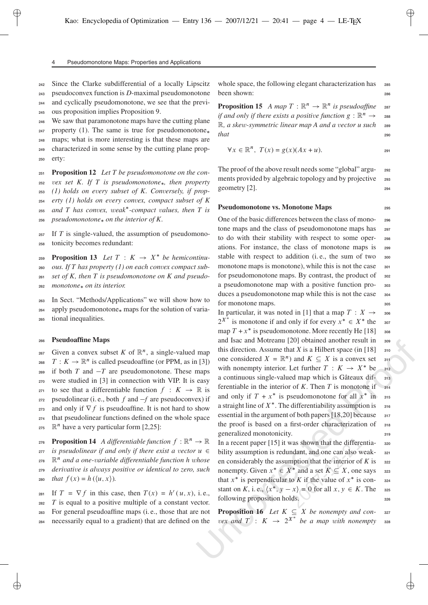#### Pseudomonotone Maps: Properties and Applications

**<sup>242</sup>** Since the Clarke subdifferential of a locally Lipscitz

**<sup>243</sup>** pseudoconvex function is *D*-maximal pseudomonotone **<sup>244</sup>** and cyclically pseudomonotone, we see that the previ-

**<sup>245</sup>** ous proposition implies Proposition 9.

**<sup>246</sup>** We saw that paramonotone maps have the cutting plane

**<sup>247</sup>** property (1). The same is true for pseudomonotone

**<sup>248</sup>** maps; what is more interesting is that these maps are **<sup>249</sup>** characterized in some sense by the cutting plane prop-

**<sup>250</sup>** erty:

✐

 **Proposition 12** *Let T be pseudomonotone on the con- vex set K. If T is pseudomonotone, then property (1) holds on e very subset of K. Con versely, if prop- erty (1) holds on every convex, compact subset of K and T has con vex, weak* **<sup>255</sup>** *-compact values, then T is pseudomonotone on the interior of K.*

**<sup>257</sup>** If *T* is single-valued, the assumption of pseudomono-**<sup>258</sup>** tonicity becomes redundant:

**Proposition 13** *Let*  $T: K \rightarrow X^*$  *be hemicontinu-*T K ! X **<sup>260</sup>** *ous. If T has property (1) on each convex compact sub-***<sup>261</sup>** *set of K, then T is pseudomonotone on K and pseudo-***<sup>262</sup>** *monotone on its interior.*

**<sup>263</sup>** In Sect. "Methods/Applications" we will show how to **<sup>264</sup>** apply pseudomonotone maps for the solution of varia-**<sup>265</sup>** tional inequalities.

### **<sup>266</sup> Pseudoaffine Maps**

267 Given a convex subset K of  $\mathbb{R}^n$ , a single-valued map 268  $T : K \to \mathbb{R}^n$  is called pseudoaffine (or PPM, as in [3])<br>269 if both T and  $-T$  are pseudomonotone. These mans  $269$  if both  $T$  and  $-T$  are pseudomonotone. These maps **<sup>270</sup>** were studied in [3] in connection with VIP. It is easy 271 to see that a differentiable function  $f: K \to \mathbb{R}$  is  $\frac{272}{272}$  pseudolinear (i. e., both *f* and *-f* are pseudoconvex) if 273 and only if  $\nabla f$  is pseudoaffine. It is not hard to show 274 that pseudolinear functions defined on the whole space  $275 \quad \mathbb{R}^n$  have a very particular form [2,25]:

**276 Proposition 14** *A differentiable function*  $f : \mathbb{R}^n \to \mathbb{R}$ f ! **<sup>277</sup>** *is pseudolinear if and only if there exist a vector*  $\mathbb{R}^n$  and a one-variable differentiable function h whose **<sup>279</sup>** *deri vati ve is al ways positi ve or identical to zero, such* 280 *that*  $f(x) = h(\langle u, x \rangle)$ .

281 If  $T = \nabla f$  in this case, then  $T(x) = h'(u, x)$ , i.e.,  $T$  is equal to a positive multiple of a constant vector. **282 <sup>283</sup>** For general pseudoaffine maps (i. e., those that are not **<sup>284</sup>** necessarily equal to a gradient) that are defined on the

whole space, the following elegant characterization has **285** been shown: **<sup>286</sup>**

**Proposition 15** *A map*  $T : \mathbb{R}^n \to \mathbb{R}^n$  *is pseudoaffine* 287 *if and only if there exists a positive function*  $g : \mathbb{R}^n$ g and only if there exists a positive function  $g : \mathbb{R}^n \to \mathbb{R}$ <br> $\mathbb{R}$ , a skew-symmetric linear map A and a vector u such z<sub>89</sub> *that* **<sup>290</sup>**

$$
\forall x \in \mathbb{R}^n, \ T(x) = g(x)(Ax + u).
$$

The proof of the above result needs some "global" argu- **<sup>292</sup>** ments provided by algebraic topology and by projective **<sup>293</sup>** geometry [2]. **<sup>294</sup>**

# **Pseudomonotone vs. Monotone Maps <sup>295</sup>**

One of the basic differences between the class of mono- **<sup>296</sup>** tone maps and the class of pseudomonotone maps has **<sup>297</sup>** to do with their stability with respect to some oper- **<sup>298</sup>** ations. For instance, the class of monotone maps is **<sup>299</sup>** stable with respect to addition (i. e., the sum of two **<sup>300</sup>** monotone maps is monotone), while this is not the case  $\frac{301}{201}$ for pseudomonotone maps. By contrast, the product of **<sup>302</sup>** a pseudomonotone map with a positive function pro- **<sup>303</sup>** duces a pseudomonotone map while this is not the case  $304$ for monotone maps. **<sup>305</sup>**

and siac and Motreanul [20] otherator result in so<br>
map this direction. Assume that X is a Hilbert space (in [18]<br>
1[3]) one considered  $X = \mathbb{R}^n$  and  $K \subseteq X$  is a convex set surface in [18]<br>
maps with nonempty interior. In particular, it was noted in [1] that a map  $T$ : In particular, it was noted in [1] that a map  $I : X \to 306$ <br> $2^{X*}$  is monotone if and only if for every  $x^* \in X^*$  the  $307$  $\text{map } T + x^*$  is pseudomonotone. More recently He [18] <sup>308</sup> and Isac and Motreanu [20] obtained another result in **309** this direction. Assume that *X* is a Hilbert space (in [18] **<sup>310</sup>** one considered  $X = \mathbb{R}^n$  and  $K \subseteq X$  is a convex set **311**<br>with popematy interior. Let further  $T : K \to V^*$  be an with nonempty interior. Let further  $T: K \to X^*$  be 312 a continuous single-valued map which is Gâteaux differentiable in the interior of K. Then T is monotone if  $\frac{314}{2}$ and only if  $T + x^*$  is pseudomonotone for all  $x^*$  in  $\infty$ a straight line of  $X^*$ . The differentiability assumption is  $\overline{\phantom{a}}$  316 essential in the argument of both papers [18,20] because <sup>317</sup> the proof is based on a first-order characterization of **<sup>318</sup>** generalized monotonicity. 319

In a recent paper [15] it was shown that the differentia- **<sup>320</sup>** bility assumption is redundant, and one can also weak- **<sup>321</sup>** en considerably the assumption that the interior of  $K$  is  $\frac{322}{2}$ nonempty. Given  $x^* \in X^*$  and a set  $K \subseteq X$ , one says <sup>323</sup><br>that  $x^*$  is perpendicular to K if the value of  $x^*$  is son that  $x^*$  is perpendicular to *K* if the value of  $x^*$  is constant on *K*, i. e.,  $\langle x^*, y - x \rangle = 0$  for all  $x, y \in K$ . The <sup>325</sup><sup>25</sup>  $\frac{1}{226}$  following proposition holds.  $\frac{326}{226}$ 

**Proposition 16** *Let*  $K \subseteq X$  *be nonempty and con-* **327**<br>
Also a map with nonempty and  $T : K \longrightarrow 2^{X^*}$  be a map with nonempty  $vex$  and  $T$  :  $K \rightarrow 2^{X^*}$  be a map with nonempty **328**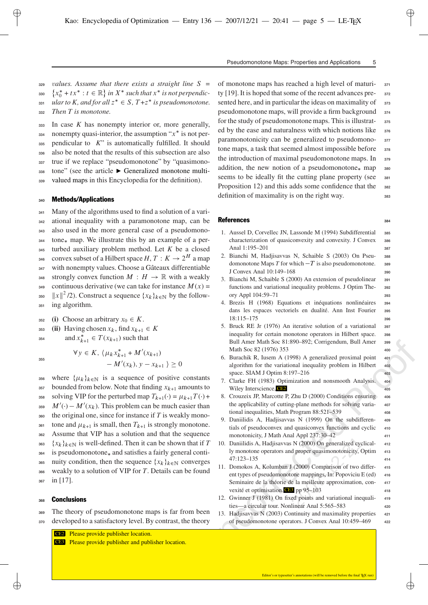Pseudomonotone Maps: Properties and Applications 5

**329** *values.* Assume that there exists a straight line S = 330  $\{x_0^* + tx^*: t \in \mathbb{R}\}$  in  $X^*$  such that  $x^*$  is not perpendic-<br>  $\{x_0^* + tx^*: t \in \mathbb{R}\}$  in  $X^*$  such that  $x^*$  is not perpendicx  $\begin{cases} \n\cdots & \text{if } \{x_i\} \text{ and } \{x_i\} \text{ is } \text{if } \{x_i\} \text{ is } \text{if } \{x_i\} \text{ is } \text{if } \{x_i\} \text{ is } \text{if } \{x_i\} \text{ is } \text{if } \{x_i\} \text{ is } \text{if } \{x_i\} \text{ is } \text{if } \{x_i\} \text{ is } \text{if } \{x_i\} \text{ is } \text{if } \{x_i\} \text{ is } \text{if } \{x_i\} \text{ is } \text{if } \{x_i\} \text{ is } \text{if$ **<sup>332</sup>** *Then T is monotone.*

 In case *K* has nonempty interior or, more generally, nonempty quasi-interior, the assumption " $x^*$  is not per- $\frac{1}{335}$  pendicular to *K*" is automatically fulfilled. It should also be noted that the results of this subsection are also true if we replace "pseudomonotone" by "quasimono- tone" (see the article Generalized monotone multi-valued maps in this Encyclopedia for the definition).

# **<sup>340</sup>** Methods/Applications

 Many of the algorithms used to find a solution of a vari- ational inequality with a paramonotone map, can be also used in the more general case of a pseudomono- tone<sub>\*</sub> map. We illustrate this by an example of a per- turbed auxiliary problem method. Let *K* be a closed <sup>346</sup> convex subset of a Hilbert space  $H, T: K \to 2^H$  a map T K ! **<sup>347</sup>** with nonempty values. Choose a Gâteaux differentiable strongly convex function  $M : H \to \mathbb{R}$  with a weakly continuous derivative (we can take for instance  $M(x) =$ <br> $||x||^2/2$ ). Construct a sequence  $\{x_k\}_{k=1}^{\infty}$  by the follow.  $||x||^2/2$ ). Construct a sequence  $\{x_k\}_{k\in\mathbb{N}}$  by the follow- $\lim_{n \to \infty} \lim_{n \to \infty} \frac{1}{n}$ 

- $352$  **(i)** Choose an arbitrary  $x_0 \in K$ .
- $\begin{aligned} \text{353} \quad \text{(ii)} \quad \text{Having chosen } x_k, \text{ find } x_{k+1} \in K \\ \text{and } x^* \quad \in T(x_{k+1}) \text{ such that} \end{aligned}$

 $\lim_{k \to 1} \in T(x_{k+1})$  such that

✐

$$
\forall y \in K, \ \langle \mu_k x_{k+1}^* + M'(x_{k+1}) - M'(x_k), y - x_{k+1} \ \rangle \ge 0
$$

356 where  $\{\mu_k\}_{k \in \mathbb{N}}$  is a sequence of positive constants  $\frac{1}{357}$  bounded from below. Note that finding  $x_{k+1}$  amounts to <sup>358</sup> solving VIP for the perturbed map  $T_{k+1}(\cdot) = \mu_{k+1} T(\cdot) +$ <br>  $M'(\cdot) = M'(\cdot)$ . This problem can be much easier than  $M'(\cdot) - M'(x_k)$ . This problem can be much easier than  $\frac{1}{260}$  the original one, since for instance if *T* is weakly mono-**361** tone and  $\mu_{k+1}$  is small, then  $T_{k+1}$  is strongly monotone.<br> **362** Assume that VIP has a solution and that the sequence **<sup>362</sup>** Assume that VIP has a solution and that the sequence **363** <sup>th</sup> the second matrix of the satisfies a fairly general conti-<br><sup>364</sup> is pseudomonotone<sub>\*</sub> and satisfies a fairly general conti $k \}_{k \in \mathbb{N}}$  is well-defined. Then it can be shown that if T <sup>365</sup> nuity condition, then the sequence  $\{x_k\}_{k\in\mathbb{N}}$  converges weakly to a solution of VIP for *T*. Details can be found **<sup>366</sup>** weakly to a solution of VIP for *T*. Details can be found **<sup>367</sup>** in [17].

# **<sup>368</sup>** Conclusions

- **<sup>369</sup>** The theory of pseudomonotone maps is far from been
- **<sup>370</sup>** developed to a satisfactory level. By contrast, the theory

CE2 Please provide publisher location. CE3 Please provide publisher and publisher location. of monotone maps has reached a high level of maturi- **<sup>371</sup>** ty [19]. It is hoped that some of the recent advances pre- **<sup>372</sup>** sented here, and in particular the ideas on maximality of **<sup>373</sup>** pseudomonotone maps, will provide a firm background **<sup>374</sup>** for the study of pseudomonotonemaps. This is illustrat- **<sup>375</sup>** ed by the ease and naturalness with which notions like **<sup>376</sup>** paramonotonicity can be generalized to pseudomono- **<sup>377</sup>** tone maps, a task that seemed almost impossible before **<sup>378</sup>** the introduction of maximal pseudomonotone maps. In **<sup>379</sup>** addition, the new notion of a pseudomonotone map **<sup>380</sup>** seems to be ideally fit the cutting plane property (see **<sup>381</sup>** Proposition 12) and this adds some confidence that the  $\frac{382}{2}$ definition of maximality is on the right way. **<sup>383</sup>**

#### References **<sup>384</sup>**

✐

- 1. Aussel D, Corvellec JN, Lassonde M (1994) Subdifferential **<sup>385</sup>** characterization of quasiconvexity and convexity. J Convex **<sup>386</sup>** Anal 1:195–201 **387**
- 2. Bianchi M, Hadjisavvas N, Schaible S (2003) On Pseu- **<sup>388</sup>** domonotone Maps  $T$  for which  $-T$  is also pseudomonotone.  $\frac{389}{200}$ J Convex Anal 10:149–168 **<sup>390</sup>**
- 3. Bianchi M, Schaible S (2000) An extension of pseudolinear **<sup>391</sup>** functions and variational inequality problems. J Optim The- **<sup>392</sup>** ory Appl 104:59–71 **<sup>393</sup>**
- 4. Brezis H (1968) Equations et inéquations nonlinéaires **<sup>394</sup>** dans les espaces vectoriels en dualité. Ann Inst Fourier **<sup>395</sup>** 18:115–175 **<sup>396</sup>**
- 5. Bruck RE Jr (1976) An iterative solution of a variational **<sup>397</sup>** inequality for certain monotone operators in Hilbert space. **<sup>398</sup>** Bull Amer Math Soc 81:890–892; Corrigendum, Bull Amer **<sup>399</sup>** Math Soc 82 (1976) 353 **<sup>400</sup>**
- 6. Burachik R, Iusem A (1998) A generalized proximal point **<sup>401</sup>** algorithm for the variational inequality problem in Hilbert **<sup>402</sup>** space. SIAM J Optim 8:197–216 **<sup>403</sup>**
- 7. Clarke FH (1983) Optimization and nonsmooth Analysis. **<sup>404</sup>** Wiley Interscience, CE2 405
- 8. Crouzeix JP, Marcotte P, Zhu D (2000) Conditions ensuring **<sup>406</sup>** the applicability of cutting-plane methods for solving varia- **<sup>407</sup>** tional inequalities, Math Program 88:521–539 **<sup>408</sup>**
- 9. Daniilidis A, Hadjisavvas N (1999) On the subdifferen- **<sup>409</sup>** tials of pseudoconvex and quasiconvex functions and cyclic **<sup>410</sup>** monotonicity, J Math Anal Appl 237:30–42 **<sup>411</sup>**
- 10. Daniilidis A, Hadjisavvas N (2000) On generalized cyclical- **<sup>412</sup>** ly monotone operators and proper quasimonotonicity, Optim **<sup>413</sup>** 47:123–135 **<sup>414</sup>**
- Bull Amer Math Sce 81:890-892; Corrigendum, Bull Amer 988<br>Math Sce 82 (1976) 353<br>6. Burachik R, Iusem A (1998) A generalized proximal point  $\omega_2$ <br>algorith for the variational inequality problem in Hilbert  $\omega_2$ <br>space. S 11. Domokos A, Kolumban J (2000) Comparison of two differ- **<sup>415</sup>** ent types of pseudomonotone mappings, In: Popoviciu E (ed) **<sup>416</sup>** Seminaire de la théorie de la meilleure approximation, con- **<sup>417</sup>** vexité et optimisation. CE3 pp 95-103 418
	- 12. Gwinner J (1981) On fixed points and variational inequali- **<sup>419</sup>** ties—a circular tour. Nonlinear Anal 5:565–583 **<sup>420</sup>**
	- 13. Hadjisavvas N (2003) Continuity and maximality properties **<sup>421</sup>** of pseudomonotone operators. J Convex Anal 10:459–469 **<sup>422</sup>**